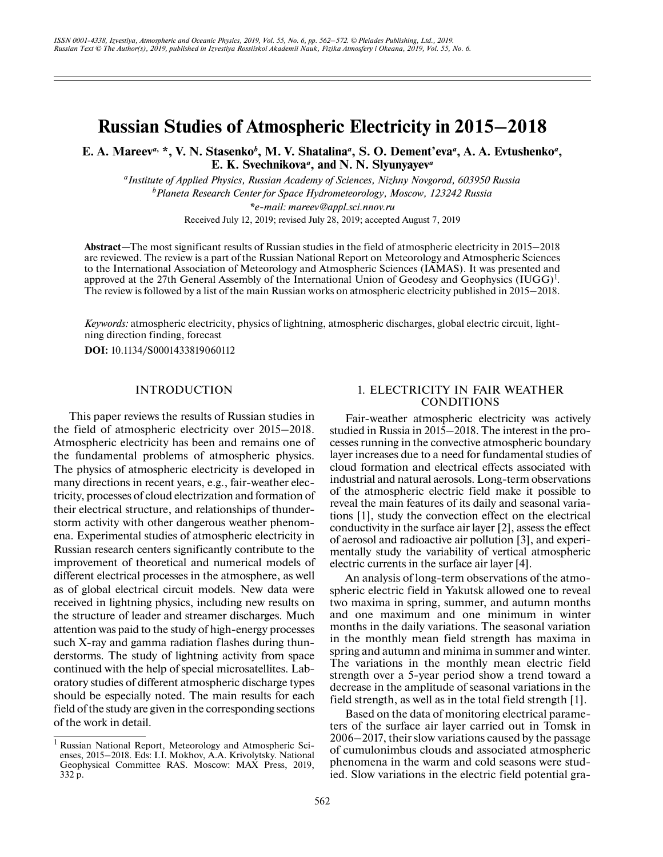# **Russian Studies of Atmospheric Electricity in 2015–2018**

E. A. Mareev<sup>*a*, \*</sup>, V. N. Stasenko<sup>*b*</sup>, M. V. Shatalina<sup>*a*</sup>, S. O. Dement'eva<sup>*a*</sup>, A. A. Evtushenko<sup>*a*</sup>, **E. K. Svechnikova***a***, and N. N. Slyunyayev***<sup>a</sup>*

*aInstitute of Applied Physics, Russian Academy of Sciences, Nizhny Novgorod, 603950 Russia b Planeta Research Center for Space Hydrometeorology, Moscow, 123242 Russia \*e-mail: mareev@appl.sci.nnov.ru* Received July 12, 2019; revised July 28, 2019; accepted August 7, 2019

**Abstract**—The most significant results of Russian studies in the field of atmospheric electricity in 2015–2018 are reviewed. The review is a part of the Russian National Report on Meteorology and Atmospheric Sciences to the International Association of Meteorology and Atmospheric Sciences (IAMAS). It was presented and approved at the 27th General Assembly of the International Union of Geodesy and Geophysics (IUGG)<sup>1</sup>. The review is followed by a list of the main Russian works on atmospheric electricity published in 2015–2018.

*Keywords:* atmospheric electricity, physics of lightning, atmospheric discharges, global electric circuit, lightning direction finding, forecast

**DOI:** 10.1134/S0001433819060112

# **INTRODUCTION**

This paper reviews the results of Russian studies in the field of atmospheric electricity over 2015–2018. Atmospheric electricity has been and remains one of the fundamental problems of atmospheric physics. The physics of atmospheric electricity is developed in many directions in recent years, e.g., fair-weather electricity, processes of cloud electrization and formation of their electrical structure, and relationships of thunderstorm activity with other dangerous weather phenomena. Experimental studies of atmospheric electricity in Russian research centers significantly contribute to the improvement of theoretical and numerical models of different electrical processes in the atmosphere, as well as of global electrical circuit models. New data were received in lightning physics, including new results on the structure of leader and streamer discharges. Much attention was paid to the study of high-energy processes such X-ray and gamma radiation flashes during thunderstorms. The study of lightning activity from space continued with the help of special microsatellites. Laboratory studies of different atmospheric discharge types should be especially noted. The main results for each field of the study are given in the corresponding sections of the work in detail.

# 1. ELECTRICITY IN FAIR WEATHER CONDITIONS

Fair-weather atmospheric electricity was actively studied in Russia in 2015–2018. The interest in the processes running in the convective atmospheric boundary layer increases due to a need for fundamental studies of cloud formation and electrical effects associated with industrial and natural aerosols. Long-term observations of the atmospheric electric field make it possible to reveal the main features of its daily and seasonal variations [1], study the convection effect on the electrical conductivity in the surface air layer [2], assess the effect of aerosol and radioactive air pollution [3], and experimentally study the variability of vertical atmospheric electric currents in the surface air layer [4].

An analysis of long-term observations of the atmospheric electric field in Yakutsk allowed one to reveal two maxima in spring, summer, and autumn months and one maximum and one minimum in winter months in the daily variations. The seasonal variation in the monthly mean field strength has maxima in spring and autumn and minima in summer and winter. The variations in the monthly mean electric field strength over a 5-year period show a trend toward a decrease in the amplitude of seasonal variations in the field strength, as well as in the total field strength [1].

Based on the data of monitoring electrical parameters of the surface air layer carried out in Tomsk in 2006–2017, their slow variations caused by the passage of cumulonimbus clouds and associated atmospheric phenomena in the warm and cold seasons were studied. Slow variations in the electric field potential gra-

<sup>&</sup>lt;sup>1</sup> Russian National Report, Meteorology and Atmospheric Scienses, 2015–2018. Eds: I.I. Mokhov, A.A. Krivolytsky. National Geophysical Committee RAS. Moscow: MAX Press, 2019, 332 p.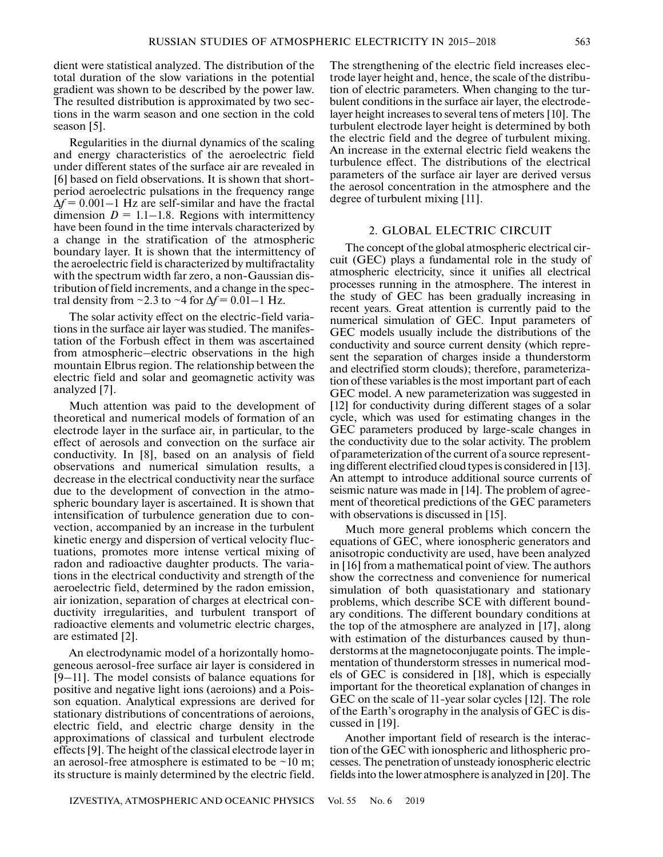dient were statistical analyzed. The distribution of the total duration of the slow variations in the potential gradient was shown to be described by the power law. The resulted distribution is approximated by two sections in the warm season and one section in the cold season [5].

Regularities in the diurnal dynamics of the scaling and energy characteristics of the aeroelectric field under different states of the surface air are revealed in [6] based on field observations. It is shown that shortperiod aeroelectric pulsations in the frequency range Δ*f* = 0.001–1 Hz are self-similar and have the fractal dimension  $D = 1.1 - 1.8$ . Regions with intermittency have been found in the time intervals characterized by a change in the stratification of the atmospheric boundary layer. It is shown that the intermittency of the aeroelectric field is characterized by multifractality with the spectrum width far zero, a non-Gaussian distribution of field increments, and a change in the spectral density from  $\sim$ 2.3 to  $\sim$ 4 for  $\Delta f$  = 0.01–1 Hz.

The solar activity effect on the electric-field variations in the surface air layer was studied. The manifestation of the Forbush effect in them was ascertained from atmospheric–electric observations in the high mountain Elbrus region. The relationship between the electric field and solar and geomagnetic activity was analyzed [7].

Much attention was paid to the development of theoretical and numerical models of formation of an electrode layer in the surface air, in particular, to the effect of aerosols and convection on the surface air conductivity. In [8], based on an analysis of field observations and numerical simulation results, a decrease in the electrical conductivity near the surface due to the development of convection in the atmospheric boundary layer is ascertained. It is shown that intensification of turbulence generation due to convection, accompanied by an increase in the turbulent kinetic energy and dispersion of vertical velocity fluctuations, promotes more intense vertical mixing of radon and radioactive daughter products. The variations in the electrical conductivity and strength of the aeroelectric field, determined by the radon emission, air ionization, separation of charges at electrical conductivity irregularities, and turbulent transport of radioactive elements and volumetric electric charges, are estimated [2].

An electrodynamic model of a horizontally homogeneous aerosol-free surface air layer is considered in [9–11]. The model consists of balance equations for positive and negative light ions (aeroions) and a Poisson equation. Analytical expressions are derived for stationary distributions of concentrations of aeroions, electric field, and electric charge density in the approximations of classical and turbulent electrode effects [9]. The height of the classical electrode layer in an aerosol-free atmosphere is estimated to be  $\sim$ 10 m; its structure is mainly determined by the electric field.

The strengthening of the electric field increases electrode layer height and, hence, the scale of the distribution of electric parameters. When changing to the turbulent conditions in the surface air layer, the electrodelayer height increases to several tens of meters [10]. The turbulent electrode layer height is determined by both the electric field and the degree of turbulent mixing. An increase in the external electric field weakens the turbulence effect. The distributions of the electrical parameters of the surface air layer are derived versus the aerosol concentration in the atmosphere and the degree of turbulent mixing [11].

# 2. GLOBAL ELECTRIC CIRCUIT

The concept of the global atmospheric electrical circuit (GEC) plays a fundamental role in the study of atmospheric electricity, since it unifies all electrical processes running in the atmosphere. The interest in the study of GEC has been gradually increasing in recent years. Great attention is currently paid to the numerical simulation of GEC. Input parameters of GEC models usually include the distributions of the conductivity and source current density (which represent the separation of charges inside a thunderstorm and electrified storm clouds); therefore, parameterization of these variables is the most important part of each GEC model. A new parameterization was suggested in [12] for conductivity during different stages of a solar cycle, which was used for estimating changes in the GEC parameters produced by large-scale changes in the conductivity due to the solar activity. The problem of parameterization of the current of a source representing different electrified cloud types is considered in [13]. An attempt to introduce additional source currents of seismic nature was made in [14]. The problem of agreement of theoretical predictions of the GEC parameters with observations is discussed in [15].

Much more general problems which concern the equations of GEC, where ionospheric generators and anisotropic conductivity are used, have been analyzed in [16] from a mathematical point of view. The authors show the correctness and convenience for numerical simulation of both quasistationary and stationary problems, which describe SCE with different boundary conditions. The different boundary conditions at the top of the atmosphere are analyzed in [17], along with estimation of the disturbances caused by thunderstorms at the magnetoconjugate points. The implementation of thunderstorm stresses in numerical models of GEC is considered in [18], which is especially important for the theoretical explanation of changes in GEC on the scale of 11-year solar cycles [12]. The role of the Earth's orography in the analysis of GEC is discussed in [19].

Another important field of research is the interaction of the GEC with ionospheric and lithospheric processes. The penetration of unsteady ionospheric electric fields into the lower atmosphere is analyzed in [20]. The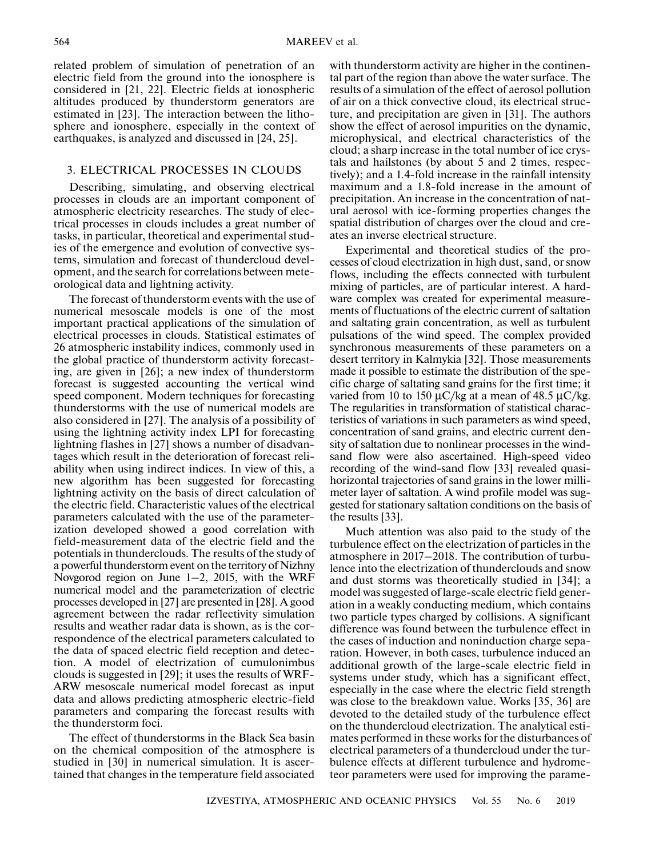related problem of simulation of penetration of an electric field from the ground into the ionosphere is considered in [21, 22]. Electric fields at ionospheric altitudes produced by thunderstorm generators are estimated in [23]. The interaction between the lithosphere and ionosphere, especially in the context of earthquakes, is analyzed and discussed in [24, 25].

## 3. ELECTRICAL PROCESSES IN CLOUDS

Describing, simulating, and observing electrical processes in clouds are an important component of atmospheric electricity researches. The study of electrical processes in clouds includes a great number of tasks, in particular, theoretical and experimental studies of the emergence and evolution of convective systems, simulation and forecast of thundercloud development, and the search for correlations between meteorological data and lightning activity.

The forecast of thunderstorm events with the use of numerical mesoscale models is one of the most important practical applications of the simulation of electrical processes in clouds. Statistical estimates of 26 atmospheric instability indices, commonly used in the global practice of thunderstorm activity forecasting, are given in [26]; a new index of thunderstorm forecast is suggested accounting the vertical wind speed component. Modern techniques for forecasting thunderstorms with the use of numerical models are also considered in [27]. The analysis of a possibility of using the lightning activity index LPI for forecasting lightning flashes in [27] shows a number of disadvantages which result in the deterioration of forecast reliability when using indirect indices. In view of this, a new algorithm has been suggested for forecasting lightning activity on the basis of direct calculation of the electric field. Characteristic values of the electrical parameters calculated with the use of the parameterization developed showed a good correlation with field-measurement data of the electric field and the potentials in thunderclouds. The results of the study of a powerful thunderstorm event on the territory of Nizhny Novgorod region on June 1–2, 2015, with the WRF numerical model and the parameterization of electric processes developed in [27] are presented in [28]. A good agreement between the radar reflectivity simulation results and weather radar data is shown, as is the correspondence of the electrical parameters calculated to the data of spaced electric field reception and detection. A model of electrization of cumulonimbus clouds is suggested in [29]; it uses the results of WRF-ARW mesoscale numerical model forecast as input data and allows predicting atmospheric electric-field parameters and comparing the forecast results with the thunderstorm foci.

The effect of thunderstorms in the Black Sea basin on the chemical composition of the atmosphere is studied in [30] in numerical simulation. It is ascertained that changes in the temperature field associated

with thunderstorm activity are higher in the continental part of the region than above the water surface. The results of a simulation of the effect of aerosol pollution of air on a thick convective cloud, its electrical structure, and precipitation are given in [31]. The authors show the effect of aerosol impurities on the dynamic, microphysical, and electrical characteristics of the cloud; a sharp increase in the total number of ice crystals and hailstones (by about 5 and 2 times, respectively); and a 1.4-fold increase in the rainfall intensity maximum and a 1.8-fold increase in the amount of precipitation. An increase in the concentration of natural aerosol with ice-forming properties changes the spatial distribution of charges over the cloud and creates an inverse electrical structure.

Experimental and theoretical studies of the processes of cloud electrization in high dust, sand, or snow flows, including the effects connected with turbulent mixing of particles, are of particular interest. A hardware complex was created for experimental measurements of fluctuations of the electric current of saltation and saltating grain concentration, as well as turbulent pulsations of the wind speed. The complex provided synchronous measurements of these parameters on a desert territory in Kalmykia [32]. Those measurements made it possible to estimate the distribution of the specific charge of saltating sand grains for the first time; it varied from 10 to 150  $\mu$ C/kg at a mean of 48.5  $\mu$ C/kg. The regularities in transformation of statistical characteristics of variations in such parameters as wind speed, concentration of sand grains, and electric current density of saltation due to nonlinear processes in the windsand flow were also ascertained. High-speed video recording of the wind-sand flow [33] revealed quasihorizontal trajectories of sand grains in the lower millimeter layer of saltation. A wind profile model was suggested for stationary saltation conditions on the basis of the results [33].

Much attention was also paid to the study of the turbulence effect on the electrization of particles in the atmosphere in 2017–2018. The contribution of turbulence into the electrization of thunderclouds and snow and dust storms was theoretically studied in [34]; a model was suggested of large-scale electric field generation in a weakly conducting medium, which contains two particle types charged by collisions. A significant difference was found between the turbulence effect in the cases of induction and noninduction charge separation. However, in both cases, turbulence induced an additional growth of the large-scale electric field in systems under study, which has a significant effect, especially in the case where the electric field strength was close to the breakdown value. Works [35, 36] are devoted to the detailed study of the turbulence effect on the thundercloud electrization. The analytical estimates performed in these works for the disturbances of electrical parameters of a thundercloud under the turbulence effects at different turbulence and hydrometeor parameters were used for improving the parame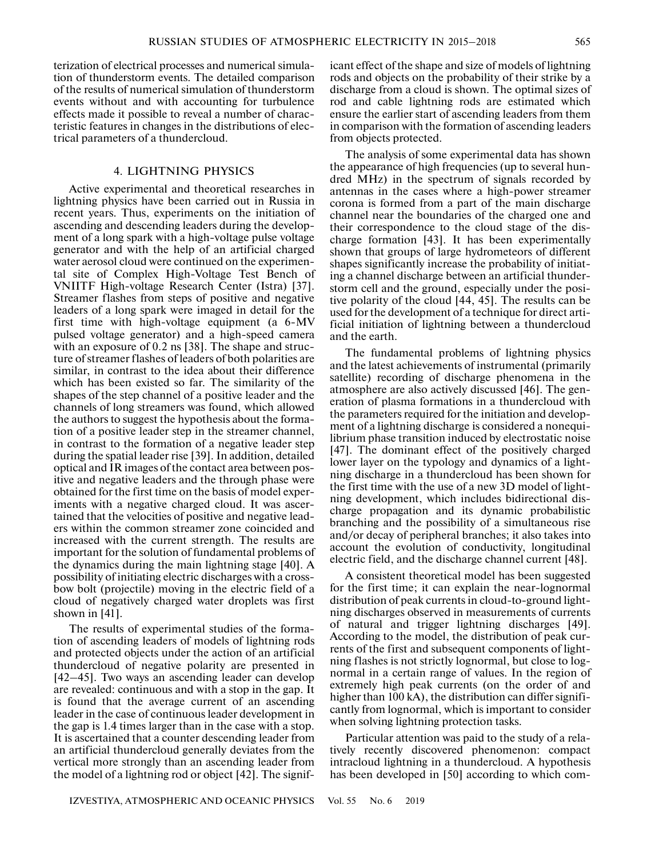terization of electrical processes and numerical simulation of thunderstorm events. The detailed comparison of the results of numerical simulation of thunderstorm events without and with accounting for turbulence effects made it possible to reveal a number of characteristic features in changes in the distributions of electrical parameters of a thundercloud.

# 4. LIGHTNING PHYSICS

Active experimental and theoretical researches in lightning physics have been carried out in Russia in recent years. Thus, experiments on the initiation of ascending and descending leaders during the development of a long spark with a high-voltage pulse voltage generator and with the help of an artificial charged water aerosol cloud were continued on the experimental site of Complex High-Voltage Test Bench of VNIITF High-voltage Research Center (Istra) [37]. Streamer flashes from steps of positive and negative leaders of a long spark were imaged in detail for the first time with high-voltage equipment (a 6-MV pulsed voltage generator) and a high-speed camera with an exposure of 0.2 ns [38]. The shape and structure of streamer flashes of leaders of both polarities are similar, in contrast to the idea about their difference which has been existed so far. The similarity of the shapes of the step channel of a positive leader and the channels of long streamers was found, which allowed the authors to suggest the hypothesis about the formation of a positive leader step in the streamer channel, in contrast to the formation of a negative leader step during the spatial leader rise [39]. In addition, detailed optical and IR images of the contact area between positive and negative leaders and the through phase were obtained for the first time on the basis of model experiments with a negative charged cloud. It was ascertained that the velocities of positive and negative leaders within the common streamer zone coincided and increased with the current strength. The results are important for the solution of fundamental problems of the dynamics during the main lightning stage [40]. A possibility of initiating electric discharges with a crossbow bolt (projectile) moving in the electric field of a cloud of negatively charged water droplets was first shown in [41].

The results of experimental studies of the formation of ascending leaders of models of lightning rods and protected objects under the action of an artificial thundercloud of negative polarity are presented in [42–45]. Two ways an ascending leader can develop are revealed: continuous and with a stop in the gap. It is found that the average current of an ascending leader in the case of continuous leader development in the gap is 1.4 times larger than in the case with a stop. It is ascertained that a counter descending leader from an artificial thundercloud generally deviates from the vertical more strongly than an ascending leader from the model of a lightning rod or object [42]. The signif-

icant effect of the shape and size of models of lightning rods and objects on the probability of their strike by a discharge from a cloud is shown. The optimal sizes of rod and cable lightning rods are estimated which ensure the earlier start of ascending leaders from them in comparison with the formation of ascending leaders from objects protected.

The analysis of some experimental data has shown the appearance of high frequencies (up to several hundred MHz) in the spectrum of signals recorded by antennas in the cases where a high-power streamer corona is formed from a part of the main discharge channel near the boundaries of the charged one and their correspondence to the cloud stage of the discharge formation [43]. It has been experimentally shown that groups of large hydrometeors of different shapes significantly increase the probability of initiating a channel discharge between an artificial thunderstorm cell and the ground, especially under the positive polarity of the cloud [44, 45]. The results can be used for the development of a technique for direct artificial initiation of lightning between a thundercloud and the earth.

The fundamental problems of lightning physics and the latest achievements of instrumental (primarily satellite) recording of discharge phenomena in the atmosphere are also actively discussed [46]. The generation of plasma formations in a thundercloud with the parameters required for the initiation and development of a lightning discharge is considered a nonequilibrium phase transition induced by electrostatic noise [47]. The dominant effect of the positively charged lower layer on the typology and dynamics of a lightning discharge in a thundercloud has been shown for the first time with the use of a new 3D model of lightning development, which includes bidirectional discharge propagation and its dynamic probabilistic branching and the possibility of a simultaneous rise and/or decay of peripheral branches; it also takes into account the evolution of conductivity, longitudinal electric field, and the discharge channel current [48].

A consistent theoretical model has been suggested for the first time; it can explain the near-lognormal distribution of peak currents in cloud-to-ground lightning discharges observed in measurements of currents of natural and trigger lightning discharges [49]. According to the model, the distribution of peak currents of the first and subsequent components of lightning flashes is not strictly lognormal, but close to lognormal in a certain range of values. In the region of extremely high peak currents (on the order of and higher than 100 kA), the distribution can differ significantly from lognormal, which is important to consider when solving lightning protection tasks.

Particular attention was paid to the study of a relatively recently discovered phenomenon: compact intracloud lightning in a thundercloud. A hypothesis has been developed in [50] according to which com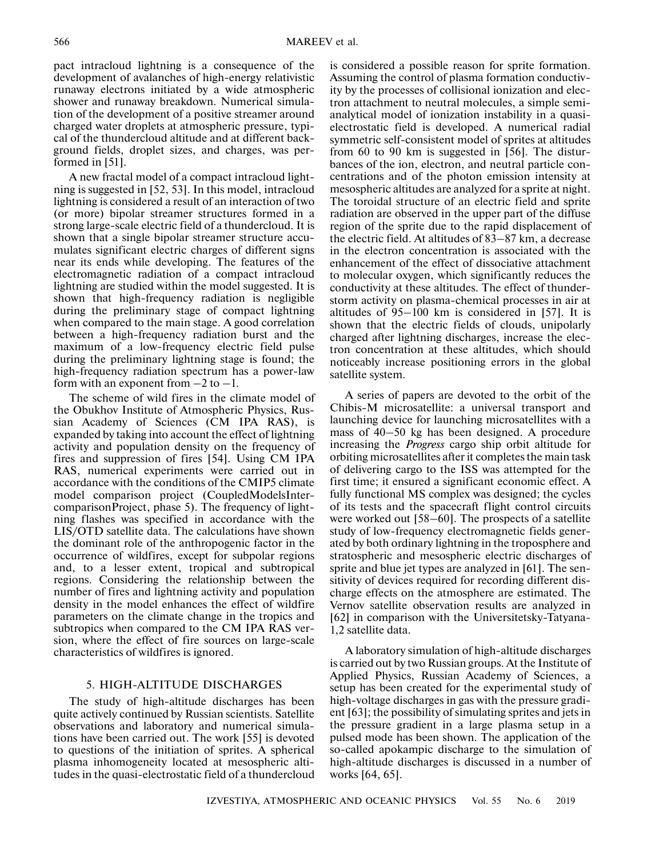pact intracloud lightning is a consequence of the development of avalanches of high-energy relativistic runaway electrons initiated by a wide atmospheric shower and runaway breakdown. Numerical simulation of the development of a positive streamer around charged water droplets at atmospheric pressure, typical of the thundercloud altitude and at different background fields, droplet sizes, and charges, was performed in [51].

A new fractal model of a compact intracloud lightning is suggested in [52, 53]. In this model, intracloud lightning is considered a result of an interaction of two (or more) bipolar streamer structures formed in a strong large-scale electric field of a thundercloud. It is shown that a single bipolar streamer structure accumulates significant electric charges of different signs near its ends while developing. The features of the electromagnetic radiation of a compact intracloud lightning are studied within the model suggested. It is shown that high-frequency radiation is negligible during the preliminary stage of compact lightning when compared to the main stage. A good correlation between a high-frequency radiation burst and the maximum of a low-frequency electric field pulse during the preliminary lightning stage is found; the high-frequency radiation spectrum has a power-law form with an exponent from  $-2$  to  $-1$ .

The scheme of wild fires in the climate model of the Obukhov Institute of Atmospheric Physics, Russian Academy of Sciences (CM IPA RAS), is expanded by taking into account the effect of lightning activity and population density on the frequency of fires and suppression of fires [54]. Using CM IPA RAS, numerical experiments were carried out in accordance with the conditions of the CMIP5 climate model comparison project (CoupledModelsIntercomparisonProject, phase 5). The frequency of lightning flashes was specified in accordance with the LIS/OTD satellite data. The calculations have shown the dominant role of the anthropogenic factor in the occurrence of wildfires, except for subpolar regions and, to a lesser extent, tropical and subtropical regions. Considering the relationship between the number of fires and lightning activity and population density in the model enhances the effect of wildfire parameters on the climate change in the tropics and subtropics when compared to the CM IPA RAS version, where the effect of fire sources on large-scale characteristics of wildfires is ignored.

# 5. HIGH-ALTITUDE DISCHARGES

The study of high-altitude discharges has been quite actively continued by Russian scientists. Satellite observations and laboratory and numerical simulations have been carried out. The work [55] is devoted to questions of the initiation of sprites. A spherical plasma inhomogeneity located at mesospheric altitudes in the quasi-electrostatic field of a thundercloud

is considered a possible reason for sprite formation. Assuming the control of plasma formation conductivity by the processes of collisional ionization and electron attachment to neutral molecules, a simple semianalytical model of ionization instability in a quasielectrostatic field is developed. A numerical radial symmetric self-consistent model of sprites at altitudes from 60 to 90 km is suggested in [56]. The disturbances of the ion, electron, and neutral particle concentrations and of the photon emission intensity at mesospheric altitudes are analyzed for a sprite at night. The toroidal structure of an electric field and sprite radiation are observed in the upper part of the diffuse region of the sprite due to the rapid displacement of the electric field. At altitudes of 83–87 km, a decrease in the electron concentration is associated with the enhancement of the effect of dissociative attachment to molecular oxygen, which significantly reduces the conductivity at these altitudes. The effect of thunderstorm activity on plasma-chemical processes in air at altitudes of 95–100 km is considered in [57]. It is shown that the electric fields of clouds, unipolarly charged after lightning discharges, increase the electron concentration at these altitudes, which should noticeably increase positioning errors in the global satellite system.

A series of papers are devoted to the orbit of the Chibis-M microsatellite: a universal transport and launching device for launching microsatellites with a mass of 40–50 kg has been designed. A procedure increasing the *Progress* cargo ship orbit altitude for orbiting microsatellites after it completes the main task of delivering cargo to the ISS was attempted for the first time; it ensured a significant economic effect. A fully functional MS complex was designed; the cycles of its tests and the spacecraft flight control circuits were worked out [58–60]. The prospects of a satellite study of low-frequency electromagnetic fields generated by both ordinary lightning in the troposphere and stratospheric and mesospheric electric discharges of sprite and blue jet types are analyzed in [61]. The sensitivity of devices required for recording different discharge effects on the atmosphere are estimated. The Vernov satellite observation results are analyzed in [62] in comparison with the Universitetsky-Tatyana-1,2 satellite data.

A laboratory simulation of high-altitude discharges is carried out by two Russian groups. At the Institute of Applied Physics, Russian Academy of Sciences, a setup has been created for the experimental study of high-voltage discharges in gas with the pressure gradient [63]; the possibility of simulating sprites and jets in the pressure gradient in a large plasma setup in a pulsed mode has been shown. The application of the so-called apokampic discharge to the simulation of high-altitude discharges is discussed in a number of works [64, 65].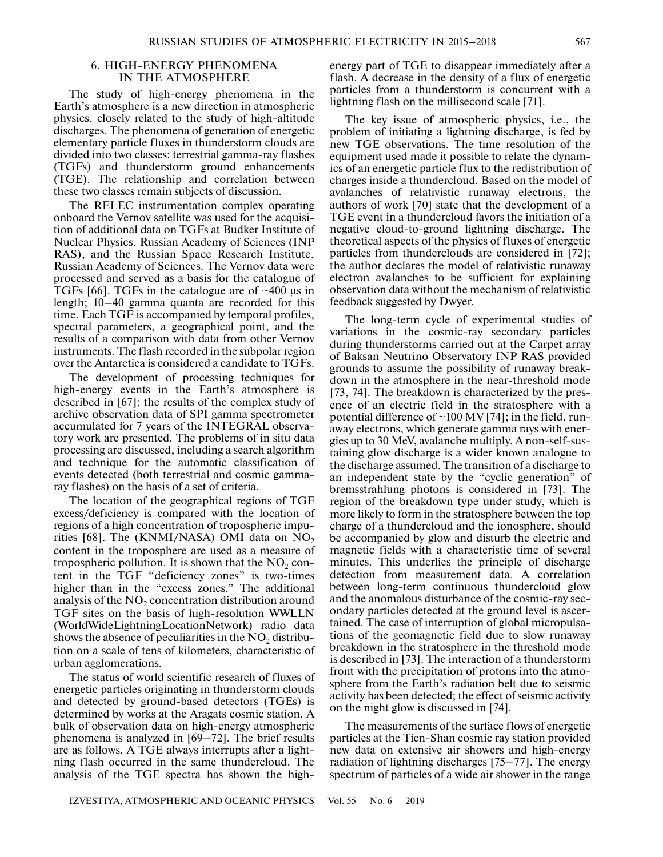# 6. HIGH-ENERGY PHENOMENA IN THE ATMOSPHERE

The study of high-energy phenomena in the Earth's atmosphere is a new direction in atmospheric physics, closely related to the study of high-altitude discharges. The phenomena of generation of energetic elementary particle fluxes in thunderstorm clouds are divided into two classes: terrestrial gamma-ray flashes (TGFs) and thunderstorm ground enhancements (TGE). The relationship and correlation between these two classes remain subjects of discussion.

The RELEC instrumentation complex operating onboard the Vernov satellite was used for the acquisition of additional data on TGFs at Budker Institute of Nuclear Physics, Russian Academy of Sciences (INP RAS), and the Russian Space Research Institute, Russian Academy of Sciences. The Vernov data were processed and served as a basis for the catalogue of TGFs [66]. TGFs in the catalogue are of  $\sim$ 400 μs in length; 10–40 gamma quanta are recorded for this time. Each TGF is accompanied by temporal profiles, spectral parameters, a geographical point, and the results of a comparison with data from other Vernov instruments. The flash recorded in the subpolar region over the Antarctica is considered a candidate to TGFs.

The development of processing techniques for high-energy events in the Earth's atmosphere is described in [67]; the results of the complex study of archive observation data of SPI gamma spectrometer accumulated for 7 years of the INTEGRAL observatory work are presented. The problems of in situ data processing are discussed, including a search algorithm and technique for the automatic classification of events detected (both terrestrial and cosmic gammaray flashes) on the basis of a set of criteria.

The location of the geographical regions of TGF excess/deficiency is compared with the location of regions of a high concentration of tropospheric impurities [68]. The (KNMI/NASA) OMI data on  $NO<sub>2</sub>$ content in the troposphere are used as a measure of tropospheric pollution. It is shown that the  $NO<sub>2</sub>$  content in the TGF "deficiency zones" is two-times higher than in the "excess zones." The additional analysis of the  $NO<sub>2</sub>$  concentration distribution around TGF sites on the basis of high-resolution WWLLN (WorldWideLightningLocationNetwork) radio data shows the absence of peculiarities in the  $NO<sub>2</sub>$  distribution on a scale of tens of kilometers, characteristic of urban agglomerations.

The status of world scientific research of fluxes of energetic particles originating in thunderstorm clouds and detected by ground-based detectors (TGEs) is determined by works at the Aragats cosmic station. A bulk of observation data on high-energy atmospheric phenomena is analyzed in [69–72]. The brief results are as follows. A TGE always interrupts after a lightning flash occurred in the same thundercloud. The analysis of the TGE spectra has shown the highenergy part of TGE to disappear immediately after a flash. A decrease in the density of a flux of energetic particles from a thunderstorm is concurrent with a lightning flash on the millisecond scale [71].

The key issue of atmospheric physics, i.e., the problem of initiating a lightning discharge, is fed by new TGE observations. The time resolution of the equipment used made it possible to relate the dynamics of an energetic particle flux to the redistribution of charges inside a thundercloud. Based on the model of avalanches of relativistic runaway electrons, the authors of work [70] state that the development of a TGE event in a thundercloud favors the initiation of a negative cloud-to-ground lightning discharge. The theoretical aspects of the physics of fluxes of energetic particles from thunderclouds are considered in [72]; the author declares the model of relativistic runaway electron avalanches to be sufficient for explaining observation data without the mechanism of relativistic feedback suggested by Dwyer.

The long-term cycle of experimental studies of variations in the cosmic-ray secondary particles during thunderstorms carried out at the Carpet array of Baksan Neutrino Observatory INP RAS provided grounds to assume the possibility of runaway breakdown in the atmosphere in the near-threshold mode [73, 74]. The breakdown is characterized by the presence of an electric field in the stratosphere with a potential difference of  $\sim$  100 MV [74]; in the field, runaway electrons, which generate gamma rays with energies up to 30 MeV, avalanche multiply. A non-self-sustaining glow discharge is a wider known analogue to the discharge assumed. The transition of a discharge to an independent state by the "cyclic generation" of bremsstrahlung photons is considered in [73]. The region of the breakdown type under study, which is more likely to form in the stratosphere between the top charge of a thundercloud and the ionosphere, should be accompanied by glow and disturb the electric and magnetic fields with a characteristic time of several minutes. This underlies the principle of discharge detection from measurement data. A correlation between long-term continuous thundercloud glow and the anomalous disturbance of the cosmic-ray secondary particles detected at the ground level is ascertained. The case of interruption of global micropulsations of the geomagnetic field due to slow runaway breakdown in the stratosphere in the threshold mode is described in [73]. The interaction of a thunderstorm front with the precipitation of protons into the atmosphere from the Earth's radiation belt due to seismic activity has been detected; the effect of seismic activity on the night glow is discussed in [74].

The measurements of the surface flows of energetic particles at the Tien-Shan cosmic ray station provided new data on extensive air showers and high-energy radiation of lightning discharges [75–77]. The energy spectrum of particles of a wide air shower in the range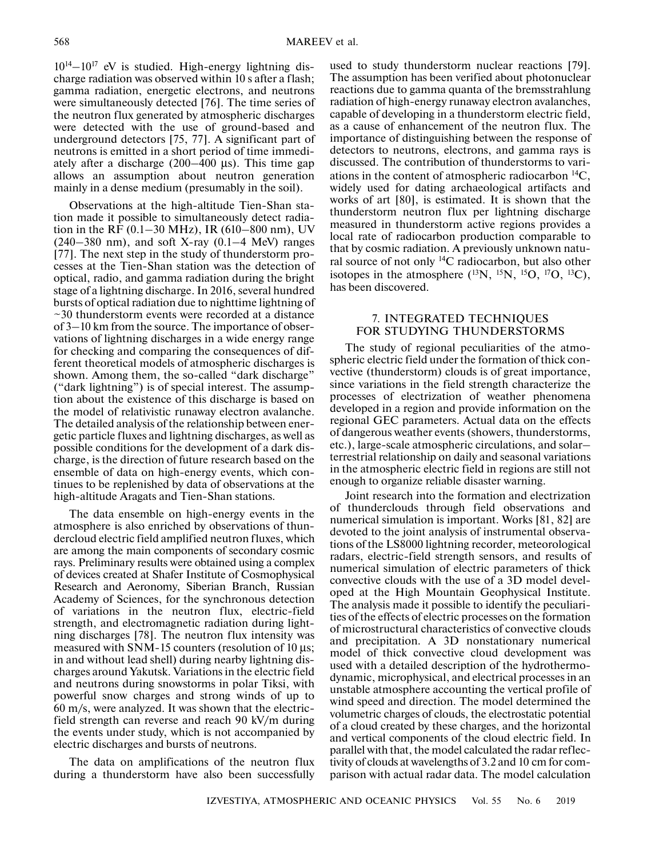$10^{14}-10^{17}$  eV is studied. High-energy lightning discharge radiation was observed within 10 s after a flash; gamma radiation, energetic electrons, and neutrons were simultaneously detected [76]. The time series of the neutron flux generated by atmospheric discharges were detected with the use of ground-based and underground detectors [75, 77]. A significant part of neutrons is emitted in a short period of time immediately after a discharge (200–400 μs). This time gap allows an assumption about neutron generation mainly in a dense medium (presumably in the soil).

Observations at the high-altitude Tien-Shan station made it possible to simultaneously detect radiation in the RF (0.1–30 MHz), IR (610–800 nm), UV  $(240-380 \text{ nm})$ , and soft X-ray  $(0.1-4 \text{ MeV})$  ranges [77]. The next step in the study of thunderstorm processes at the Tien-Shan station was the detection of optical, radio, and gamma radiation during the bright stage of a lightning discharge. In 2016, several hundred bursts of optical radiation due to nighttime lightning of  $\sim$ 30 thunderstorm events were recorded at a distance of 3–10 km from the source. The importance of observations of lightning discharges in a wide energy range for checking and comparing the consequences of different theoretical models of atmospheric discharges is shown. Among them, the so-called "dark discharge" ("dark lightning") is of special interest. The assumption about the existence of this discharge is based on the model of relativistic runaway electron avalanche. The detailed analysis of the relationship between energetic particle fluxes and lightning discharges, as well as possible conditions for the development of a dark discharge, is the direction of future research based on the ensemble of data on high-energy events, which continues to be replenished by data of observations at the high-altitude Aragats and Tien-Shan stations.

The data ensemble on high-energy events in the atmosphere is also enriched by observations of thundercloud electric field amplified neutron fluxes, which are among the main components of secondary cosmic rays. Preliminary results were obtained using a complex of devices created at Shafer Institute of Cosmophysical Research and Aeronomy, Siberian Branch, Russian Academy of Sciences, for the synchronous detection of variations in the neutron flux, electric-field strength, and electromagnetic radiation during lightning discharges [78]. The neutron flux intensity was measured with SNM-15 counters (resolution of 10 μs; in and without lead shell) during nearby lightning discharges around Yakutsk. Variations in the electric field and neutrons during snowstorms in polar Tiksi, with powerful snow charges and strong winds of up to 60 m/s, were analyzed. It was shown that the electricfield strength can reverse and reach 90 kV/m during the events under study, which is not accompanied by electric discharges and bursts of neutrons.

The data on amplifications of the neutron flux during a thunderstorm have also been successfully

used to study thunderstorm nuclear reactions [79]. The assumption has been verified about photonuclear reactions due to gamma quanta of the bremsstrahlung radiation of high-energy runaway electron avalanches, capable of developing in a thunderstorm electric field, as a cause of enhancement of the neutron flux. The importance of distinguishing between the response of detectors to neutrons, electrons, and gamma rays is discussed. The contribution of thunderstorms to variations in the content of atmospheric radiocarbon  ${}^{14}C$ , widely used for dating archaeological artifacts and works of art [80], is estimated. It is shown that the thunderstorm neutron flux per lightning discharge measured in thunderstorm active regions provides a local rate of radiocarbon production comparable to that by cosmic radiation. A previously unknown natural source of not only 14С radiocarbon, but also other isotopes in the atmosphere  $(^{13}N, ^{15}N, ^{15}O, ^{17}O, ^{13}C)$ , has been discovered.

#### 7. INTEGRATED TECHNIQUES FOR STUDYING THUNDERSTORMS

The study of regional peculiarities of the atmospheric electric field under the formation of thick convective (thunderstorm) clouds is of great importance, since variations in the field strength characterize the processes of electrization of weather phenomena developed in a region and provide information on the regional GEC parameters. Actual data on the effects of dangerous weather events (showers, thunderstorms, etc.), large-scale atmospheric circulations, and solar– terrestrial relationship on daily and seasonal variations in the atmospheric electric field in regions are still not enough to organize reliable disaster warning.

Joint research into the formation and electrization of thunderclouds through field observations and numerical simulation is important. Works [81, 82] are devoted to the joint analysis of instrumental observations of the LS8000 lightning recorder, meteorological radars, electric-field strength sensors, and results of numerical simulation of electric parameters of thick convective clouds with the use of a 3D model developed at the High Mountain Geophysical Institute. The analysis made it possible to identify the peculiarities of the effects of electric processes on the formation of microstructural characteristics of convective clouds and precipitation. A 3D nonstationary numerical model of thick convective cloud development was used with a detailed description of the hydrothermodynamic, microphysical, and electrical processes in an unstable atmosphere accounting the vertical profile of wind speed and direction. The model determined the volumetric charges of clouds, the electrostatic potential of a cloud created by these charges, and the horizontal and vertical components of the cloud electric field. In parallel with that, the model calculated the radar reflectivity of clouds at wavelengths of 3.2 and 10 cm for comparison with actual radar data. The model calculation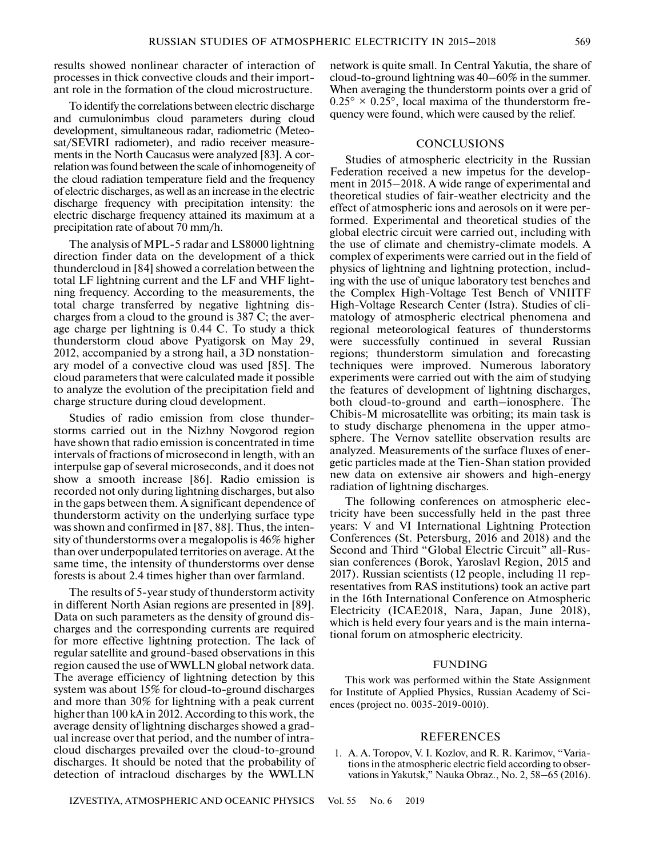results showed nonlinear character of interaction of processes in thick convective clouds and their important role in the formation of the cloud microstructure.

To identify the correlations between electric discharge and cumulonimbus cloud parameters during cloud development, simultaneous radar, radiometric (Meteosat/SEVIRI radiometer), and radio receiver measurements in the North Caucasus were analyzed [83]. A correlation was found between the scale of inhomogeneity of the cloud radiation temperature field and the frequency of electric discharges, as well as an increase in the electric discharge frequency with precipitation intensity: the electric discharge frequency attained its maximum at a precipitation rate of about 70 mm/h.

The analysis of MPL-5 radar and LS8000 lightning direction finder data on the development of a thick thundercloud in [84] showed a correlation between the total LF lightning current and the LF and VHF lightning frequency. According to the measurements, the total charge transferred by negative lightning discharges from a cloud to the ground is 387 C; the average charge per lightning is 0.44 C. To study a thick thunderstorm cloud above Pyatigorsk on May 29, 2012, accompanied by a strong hail, a 3D nonstationary model of a convective cloud was used [85]. The cloud parameters that were calculated made it possible to analyze the evolution of the precipitation field and charge structure during cloud development.

Studies of radio emission from close thunderstorms carried out in the Nizhny Novgorod region have shown that radio emission is concentrated in time intervals of fractions of microsecond in length, with an interpulse gap of several microseconds, and it does not show a smooth increase [86]. Radio emission is recorded not only during lightning discharges, but also in the gaps between them. A significant dependence of thunderstorm activity on the underlying surface type was shown and confirmed in [87, 88]. Thus, the intensity of thunderstorms over a megalopolis is 46% higher than over underpopulated territories on average. At the same time, the intensity of thunderstorms over dense forests is about 2.4 times higher than over farmland.

The results of 5-year study of thunderstorm activity in different North Asian regions are presented in [89]. Data on such parameters as the density of ground discharges and the corresponding currents are required for more effective lightning protection. The lack of regular satellite and ground-based observations in this region caused the use of WWLLN global network data. The average efficiency of lightning detection by this system was about 15% for cloud-to-ground discharges and more than 30% for lightning with a peak current higher than 100 kA in 2012. According to this work, the average density of lightning discharges showed a gradual increase over that period, and the number of intracloud discharges prevailed over the cloud-to-ground discharges. It should be noted that the probability of detection of intracloud discharges by the WWLLN

network is quite small. In Central Yakutia, the share of cloud-to-ground lightning was 40–60% in the summer. When averaging the thunderstorm points over a grid of  $0.25^{\circ} \times 0.25^{\circ}$ , local maxima of the thunderstorm frequency were found, which were caused by the relief.

# **CONCLUSIONS**

Studies of atmospheric electricity in the Russian Federation received a new impetus for the development in 2015–2018. A wide range of experimental and theoretical studies of fair-weather electricity and the effect of atmospheric ions and aerosols on it were performed. Experimental and theoretical studies of the global electric circuit were carried out, including with the use of climate and chemistry-climate models. A complex of experiments were carried out in the field of physics of lightning and lightning protection, including with the use of unique laboratory test benches and the Complex High-Voltage Test Bench of VNIITF High-Voltage Research Center (Istra). Studies of climatology of atmospheric electrical phenomena and regional meteorological features of thunderstorms were successfully continued in several Russian regions; thunderstorm simulation and forecasting techniques were improved. Numerous laboratory experiments were carried out with the aim of studying the features of development of lightning discharges, both cloud-to-ground and earth–ionosphere. The Chibis-M microsatellite was orbiting; its main task is to study discharge phenomena in the upper atmosphere. The Vernov satellite observation results are analyzed. Measurements of the surface fluxes of energetic particles made at the Tien-Shan station provided new data on extensive air showers and high-energy radiation of lightning discharges.

The following conferences on atmospheric electricity have been successfully held in the past three years: V and VI International Lightning Protection Conferences (St. Petersburg, 2016 and 2018) and the Second and Third "Global Electric Circuit" all-Russian conferences (Borok, Yaroslavl Region, 2015 and 2017). Russian scientists (12 people, including 11 representatives from RAS institutions) took an active part in the 16th International Conference on Atmospheric Electricity (ICAE2018, Nara, Japan, June 2018), which is held every four years and is the main international forum on atmospheric electricity.

#### FUNDING

This work was performed within the State Assignment for Institute of Applied Physics, Russian Academy of Sciences (project no. 0035-2019-0010).

# REFERENCES

1. A. A. Toropov, V. I. Kozlov, and R. R. Karimov, "Variations in the atmospheric electric field according to observations in Yakutsk," Nauka Obraz., No. 2, 58–65 (2016).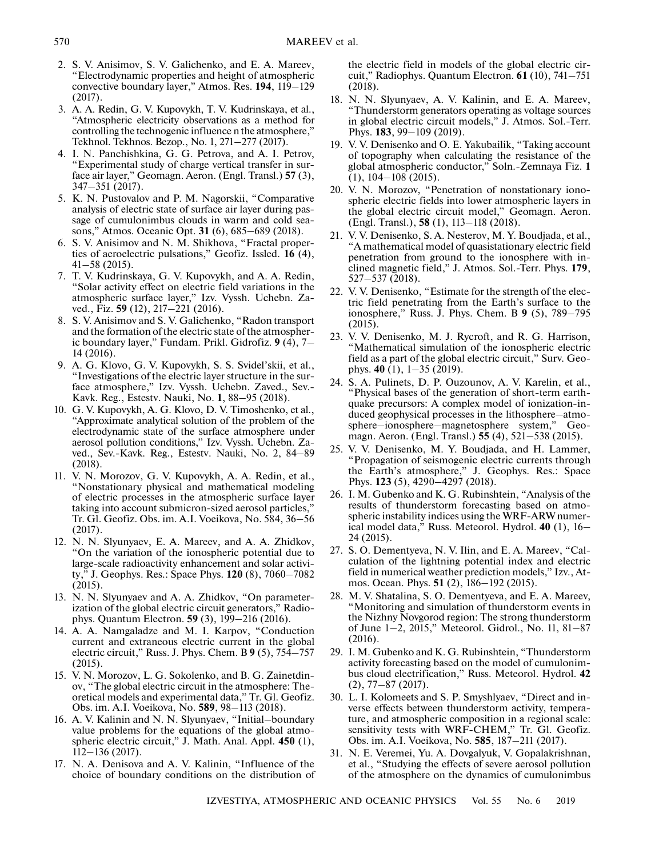- 2. S. V. Anisimov, S. V. Galichenko, and E. A. Mareev, "Electrodynamic properties and height of atmospheric convective boundary layer," Atmos. Res. **194**, 119–129 (2017).
- 3. A. A. Redin, G. V. Kupovykh, T. V. Kudrinskaya, et al., "Atmospheric electricity observations as a method for controlling the technogenic influence n the atmosphere," Tekhnol. Tekhnos. Bezop., No. 1, 271–277 (2017).
- 4. I. N. Panchishkina, G. G. Petrova, and A. I. Petrov, "Experimental study of charge vertical transfer in surface air layer," Geomagn. Aeron. (Engl. Transl.) **57** (3), 347–351 (2017).
- 5. K. N. Pustovalov and P. M. Nagorskii, "Comparative analysis of electric state of surface air layer during passage of cumulonimbus clouds in warm and cold seasons," Atmos. Oceanic Opt. **31** (6), 685–689 (2018).
- 6. S. V. Anisimov and N. M. Shikhova, "Fractal properties of aeroelectric pulsations," Geofiz. Issled. **16** (4), 41–58 (2015).
- 7. T. V. Kudrinskaya, G. V. Kupovykh, and A. A. Redin, "Solar activity effect on electric field variations in the atmospheric surface layer," Izv. Vyssh. Uchebn. Zaved., Fiz. **59** (12), 217–221 (2016).
- 8. S. V. Anisimov and S. V. Galichenko, "Radon transport and the formation of the electric state of the atmospheric boundary layer," Fundam. Prikl. Gidrofiz. **9** (4), 7– 14 (2016).
- 9. A. G. Klovo, G. V. Kupovykh, S. S. Svidel'skii, et al., "Investigations of the electric layer structure in the surface atmosphere," Izv. Vyssh. Uchebn. Zaved., Sev.- Kavk. Reg., Estestv. Nauki, No. **1**, 88–95 (2018).
- 10. G. V. Kupovykh, A. G. Klovo, D. V. Timoshenko, et al., "Approximate analytical solution of the problem of the electrodynamic state of the surface atmosphere under aerosol pollution conditions," Izv. Vyssh. Uchebn. Zaved., Sev.-Kavk. Reg., Estestv. Nauki, No. 2, 84–89 (2018).
- 11. V. N. Morozov, G. V. Kupovykh, A. A. Redin, et al., "Nonstationary physical and mathematical modeling of electric processes in the atmospheric surface layer taking into account submicron-sized aerosol particles," Tr. Gl. Geofiz. Obs. im. A.I. Voeikova, No. 584, 36–56 (2017).
- 12. N. N. Slyunyaev, E. A. Mareev, and A. A. Zhidkov, "On the variation of the ionospheric potential due to large-scale radioactivity enhancement and solar activity," J. Geophys. Res.: Space Phys. **120** (8), 7060–7082 (2015).
- 13. N. N. Slyunyaev and A. A. Zhidkov, "On parameterization of the global electric circuit generators," Radiophys. Quantum Electron. **59** (3), 199–216 (2016).
- 14. A. A. Namgaladze and M. I. Karpov, "Conduction current and extraneous electric current in the global electric circuit," Russ. J. Phys. Chem. B **9** (5), 754–757 (2015).
- 15. V. N. Morozov, L. G. Sokolenko, and B. G. Zainetdinov, "The global electric circuit in the atmosphere: Theoretical models and experimental data," Tr. Gl. Geofiz. Obs. im. A.I. Voeikova, No. **589**, 98–113 (2018).
- 16. A. V. Kalinin and N. N. Slyunyaev, "Initial–boundary value problems for the equations of the global atmospheric electric circuit," J. Math. Anal. Appl. **450** (1), 112–136 (2017).
- 17. N. A. Denisova and A. V. Kalinin, "Influence of the choice of boundary conditions on the distribution of

the electric field in models of the global electric circuit," Radiophys. Quantum Electron. **61** (10), 741–751 (2018).

- 18. N. N. Slyunyaev, A. V. Kalinin, and E. A. Mareev, "Thunderstorm generators operating as voltage sources in global electric circuit models," J. Atmos. Sol.-Terr. Phys. **183**, 99–109 (2019).
- 19. V. V. Denisenko and O. E. Yakubailik, "Taking account of topography when calculating the resistance of the global atmospheric conductor," Soln.-Zemnaya Fiz. **1** (1), 104–108 (2015).
- 20. V. N. Morozov, "Penetration of nonstationary ionospheric electric fields into lower atmospheric layers in the global electric circuit model," Geomagn. Aeron. (Engl. Transl.), **58** (1), 113–118 (2018).
- 21. V. V. Denisenko, S. A. Nesterov, M. Y. Boudjada, et al., "A mathematical model of quasistationary electric field penetration from ground to the ionosphere with inclined magnetic field," J. Atmos. Sol.-Terr. Phys. **179**, 527–537 (2018).
- 22. V. V. Denisenko, "Estimate for the strength of the electric field penetrating from the Earth's surface to the ionosphere," Russ. J. Phys. Chem. B **9** (5), 789–795 (2015).
- 23. V. V. Denisenko, M. J. Rycroft, and R. G. Harrison, "Mathematical simulation of the ionospheric electric field as a part of the global electric circuit," Surv. Geophys. **40** (1), 1–35 (2019).
- 24. S. A. Pulinets, D. P. Ouzounov, A. V. Karelin, et al., "Physical bases of the generation of short-term earthquake precursors: A complex model of ionization-induced geophysical processes in the lithosphere–atmosphere–ionosphere–magnetosphere system," Geomagn. Aeron. (Engl. Transl.) **55** (4), 521–538 (2015).
- 25. V. V. Denisenko, M. Y. Boudjada, and H. Lammer, "Propagation of seismogenic electric currents through the Earth's atmosphere," J. Geophys. Res.: Space Phys. **123** (5), 4290–4297 (2018).
- 26. I. M. Gubenko and K. G. Rubinshtein, "Analysis of the results of thunderstorm forecasting based on atmospheric instability indices using the WRF-ARW numerical model data," Russ. Meteorol. Hydrol. **40** (1), 16– 24 (2015).
- 27. S. O. Dementyeva, N. V. Ilin, and E. A. Mareev, "Calculation of the lightning potential index and electric field in numerical weather prediction models," Izv., Atmos. Ocean. Phys. **51** (2), 186–192 (2015).
- 28. M. V. Shatalina, S. O. Dementyeva, and E. A. Mareev, "Monitoring and simulation of thunderstorm events in the Nizhny Novgorod region: The strong thunderstorm of June 1–2, 2015," Meteorol. Gidrol., No. 11, 81–87 (2016).
- 29. I. M. Gubenko and K. G. Rubinshtein, "Thunderstorm activity forecasting based on the model of cumulonimbus cloud electrification," Russ. Meteorol. Hydrol. **42** (2), 77–87 (2017).
- 30. L. I. Kolomeets and S. P. Smyshlyaev, "Direct and inverse effects between thunderstorm activity, temperature, and atmospheric composition in a regional scale: sensitivity tests with WRF-CHEM," Tr. Gl. Geofiz. Obs. im. A.I. Voeikova, No. **585**, 187–211 (2017).
- 31. N. E. Veremei, Yu. A. Dovgalyuk, V. Gopalakrishnan, et al., "Studying the effects of severe aerosol pollution of the atmosphere on the dynamics of cumulonimbus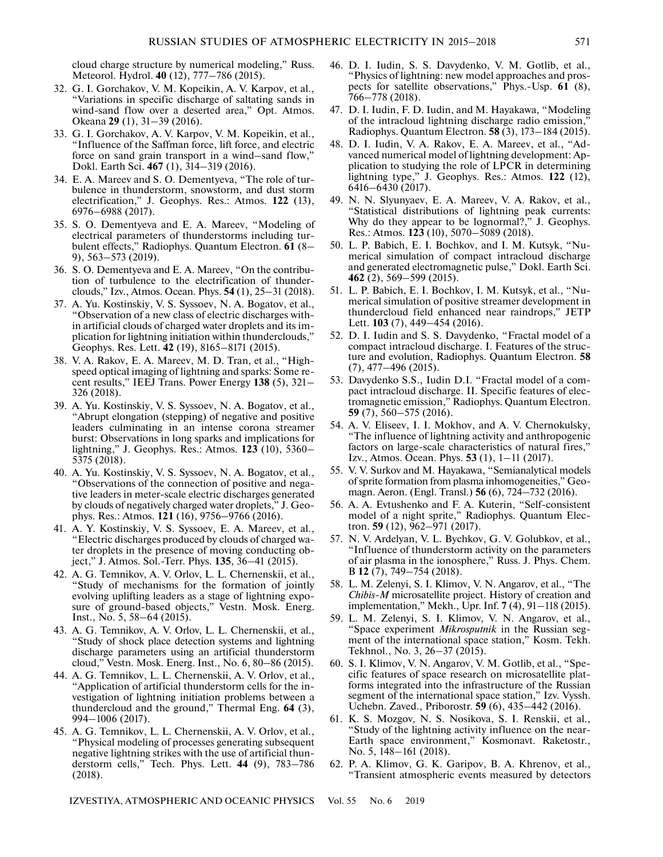cloud charge structure by numerical modeling," Russ. Meteorol. Hydrol. **40** (12), 777–786 (2015).

- 32. G. I. Gorchakov, V. M. Kopeikin, A. V. Karpov, et al., "Variations in specific discharge of saltating sands in wind-sand flow over a deserted area," Opt. Atmos. Okeana **29** (1), 31–39 (2016).
- 33. G. I. Gorchakov, A. V. Karpov, V. M. Kopeikin, et al., "Influence of the Saffman force, lift force, and electric force on sand grain transport in a wind–sand flow," Dokl. Earth Sci. **467** (1), 314–319 (2016).
- 34. E. A. Mareev and S. O. Dementyeva, "The role of turbulence in thunderstorm, snowstorm, and dust storm electrification," J. Geophys. Res.: Atmos. **122** (13), 6976–6988 (2017).
- 35. S. O. Dementyeva and E. A. Mareev, "Modeling of electrical parameters of thunderstorms including turbulent effects," Radiophys. Quantum Electron. **61** (8– 9), 563–573 (2019).
- 36. S. O. Dementyeva and E. A. Mareev, "On the contribution of turbulence to the electrification of thunderclouds," Izv., Atmos. Ocean. Phys. **54** (1), 25–31 (2018).
- 37. A. Yu. Kostinskiy, V. S. Syssoev, N. A. Bogatov, et al., "Observation of a new class of electric discharges within artificial clouds of charged water droplets and its implication for lightning initiation within thunderclouds," Geophys. Res. Lett. **42** (19), 8165–8171 (2015).
- 38. V. A. Rakov, E. A. Mareev, M. D. Tran, et al., "Highspeed optical imaging of lightning and sparks: Some recent results," IEEJ Trans. Power Energy **138** (5), 321– 326 (2018).
- 39. A. Yu. Kostinskiy, V. S. Syssoev, N. A. Bogatov, et al., "Abrupt elongation (stepping) of negative and positive leaders culminating in an intense corona streamer burst: Observations in long sparks and implications for lightning," J. Geophys. Res.: Atmos. **123** (10), 5360– 5375 (2018).
- 40. A. Yu. Kostinskiy, V. S. Syssoev, N. A. Bogatov, et al., "Observations of the connection of positive and negative leaders in meter-scale electric discharges generated by clouds of negatively charged water droplets," J. Geophys. Res.: Atmos. **121** (16), 9756–9766 (2016).
- 41. A. Y. Kostinskiy, V. S. Syssoev, E. A. Mareev, et al., "Electric discharges produced by clouds of charged water droplets in the presence of moving conducting object," J. Atmos. Sol.-Terr. Phys. **135**, 36–41 (2015).
- 42. A. G. Temnikov, A. V. Orlov, L. L. Chernenskii, et al., "Study of mechanisms for the formation of jointly evolving uplifting leaders as a stage of lightning exposure of ground-based objects," Vestn. Mosk. Energ. Inst., No. 5, 58–64 (2015).
- 43. A. G. Temnikov, A. V. Orlov, L. L. Chernenskii, et al., "Study of shock place detection systems and lightning discharge parameters using an artificial thunderstorm cloud," Vestn. Mosk. Energ. Inst., No. 6, 80–86 (2015).
- 44. A. G. Temnikov, L. L. Chernenskii, A. V. Orlov, et al., "Application of artificial thunderstorm cells for the investigation of lightning initiation problems between a thundercloud and the ground," Thermal Eng. **64** (3), 994–1006 (2017).
- 45. A. G. Temnikov, L. L. Chernenskii, A. V. Orlov, et al., "Physical modeling of processes generating subsequent negative lightning strikes with the use of artificial thunderstorm cells," Tech. Phys. Lett. **44** (9), 783–786 (2018).
- 46. D. I. Iudin, S. S. Davydenko, V. M. Gotlib, et al., "Physics of lightning: new model approaches and prospects for satellite observations," Phys.-Usp. **61** (8), 766–778 (2018).
- 47. D. I. Iudin, F. D. Iudin, and M. Hayakawa, "Modeling of the intracloud lightning discharge radio emission," Radiophys. Quantum Electron. **58** (3), 173–184 (2015).
- 48. D. I. Iudin, V. A. Rakov, E. A. Mareev, et al., "Advanced numerical model of lightning development: Application to studying the role of LPCR in determining lightning type," J. Geophys. Res.: Atmos. **122** (12), 6416–6430 (2017).
- 49. N. N. Slyunyaev, E. A. Mareev, V. A. Rakov, et al., "Statistical distributions of lightning peak currents: Why do they appear to be lognormal?," J. Geophys. Res.: Atmos. **123** (10), 5070–5089 (2018).
- 50. L. P. Babich, E. I. Bochkov, and I. M. Kutsyk, "Numerical simulation of compact intracloud discharge and generated electromagnetic pulse," Dokl. Earth Sci. **462** (2), 569–599 (2015).
- 51. L. P. Babich, E. I. Bochkov, I. M. Kutsyk, et al., "Numerical simulation of positive streamer development in thundercloud field enhanced near raindrops," JETP Lett. **103** (7), 449–454 (2016).
- 52. D. I. Iudin and S. S. Davydenko, "Fractal model of a compact intracloud discharge. I. Features of the structure and evolution, Radiophys. Quantum Electron. **58** (7), 477–496 (2015).
- 53. Davydenko S.S., Iudin D.I. "Fractal model of a compact intracloud discharge. II. Specific features of electromagnetic emission," Radiophys. Quantum Electron. **59** (7), 560–575 (2016).
- 54. A. V. Eliseev, I. I. Mokhov, and A. V. Chernokulsky, "The influence of lightning activity and anthropogenic factors on large-scale characteristics of natural fires," Izv., Atmos. Ocean. Phys. **53** (1), 1–11 (2017).
- 55. V. V. Surkov and M. Hayakawa, "Semianalytical models of sprite formation from plasma inhomogeneities," Geomagn. Aeron. (Engl. Transl.) **56** (6), 724–732 (2016).
- 56. A. A. Evtushenko and F. A. Kuterin, "Self-consistent model of a night sprite," Radiophys. Quantum Electron. **59** (12), 962–971 (2017).
- 57. N. V. Ardelyan, V. L. Bychkov, G. V. Golubkov, et al., "Influence of thunderstorm activity on the parameters of air plasma in the ionosphere," Russ. J. Phys. Chem. B **12** (7), 749–754 (2018).
- 58. L. M. Zelenyi, S. I. Klimov, V. N. Angarov, et al., "The *Chibis-M* microsatellite project. History of creation and implementation," Mekh., Upr. Inf. **7** (4), 91–118 (2015).
- 59. L. M. Zelenyi, S. I. Klimov, V. N. Angarov, et al., "Space experiment *Mikrosputnik* in the Russian segment of the international space station," Kosm. Tekh. Tekhnol., No. 3, 26–37 (2015).
- 60. S. I. Klimov, V. N. Angarov, V. M. Gotlib, et al., "Specific features of space research on microsatellite platforms integrated into the infrastructure of the Russian segment of the international space station," Izv. Vyssh. Uchebn. Zaved., Priborostr. **59** (6), 435–442 (2016).
- 61. K. S. Mozgov, N. S. Nosikova, S. I. Renskii, et al., "Study of the lightning activity influence on the near-Earth space environment," Kosmonavt. Raketostr., No. 5, 148–161 (2018).
- 62. P. A. Klimov, G. K. Garipov, B. A. Khrenov, et al., "Transient atmospheric events measured by detectors